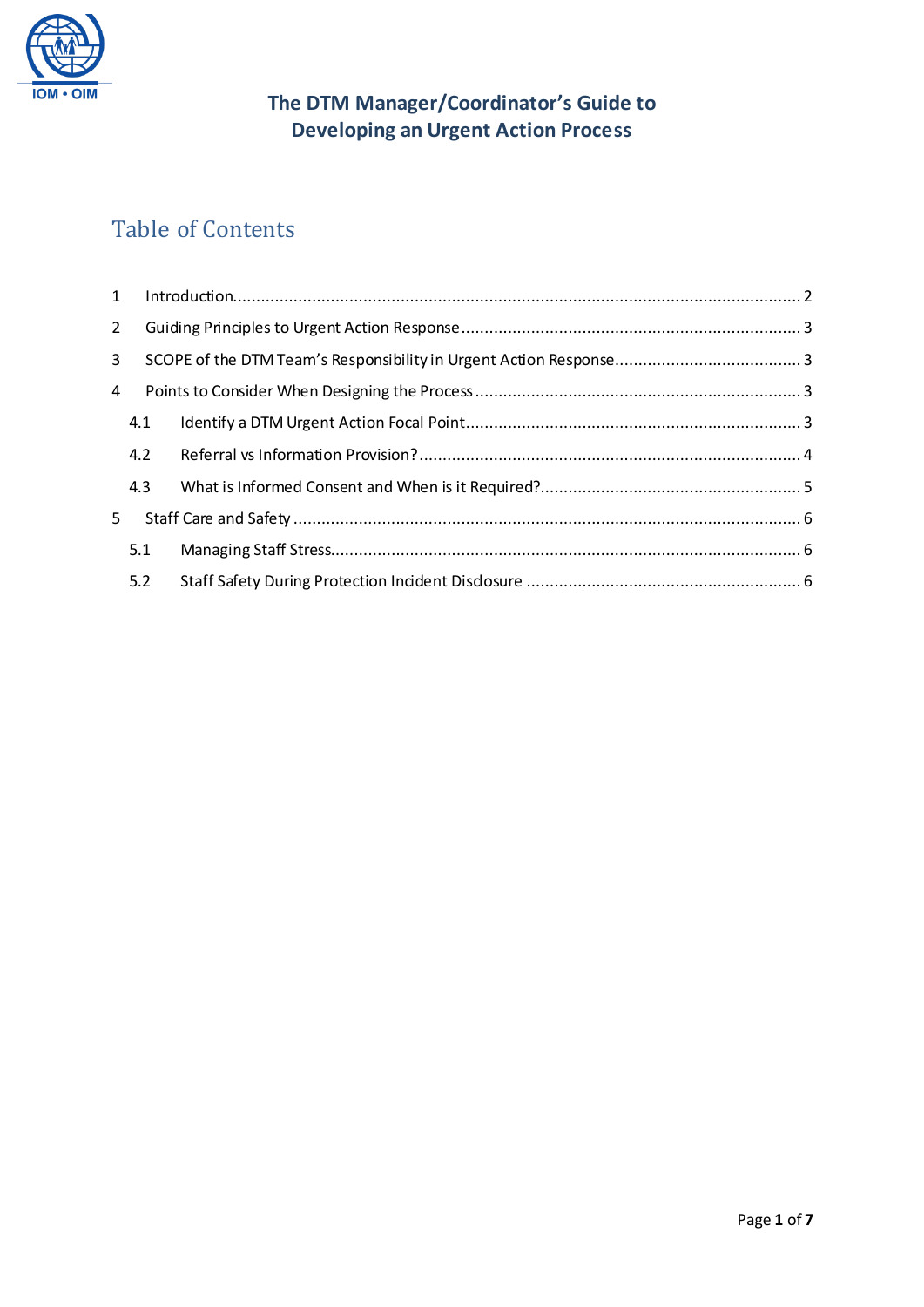

## **The DTM Manager/Coordinator's Guide to Developing an Urgent Action Process**

# Table of Contents

| $\overline{2}$ |     |  |
|----------------|-----|--|
| $\overline{3}$ |     |  |
| 4              |     |  |
|                | 4.1 |  |
|                | 4.2 |  |
|                | 4.3 |  |
| 5              |     |  |
|                | 5.1 |  |
|                | 5.2 |  |
|                |     |  |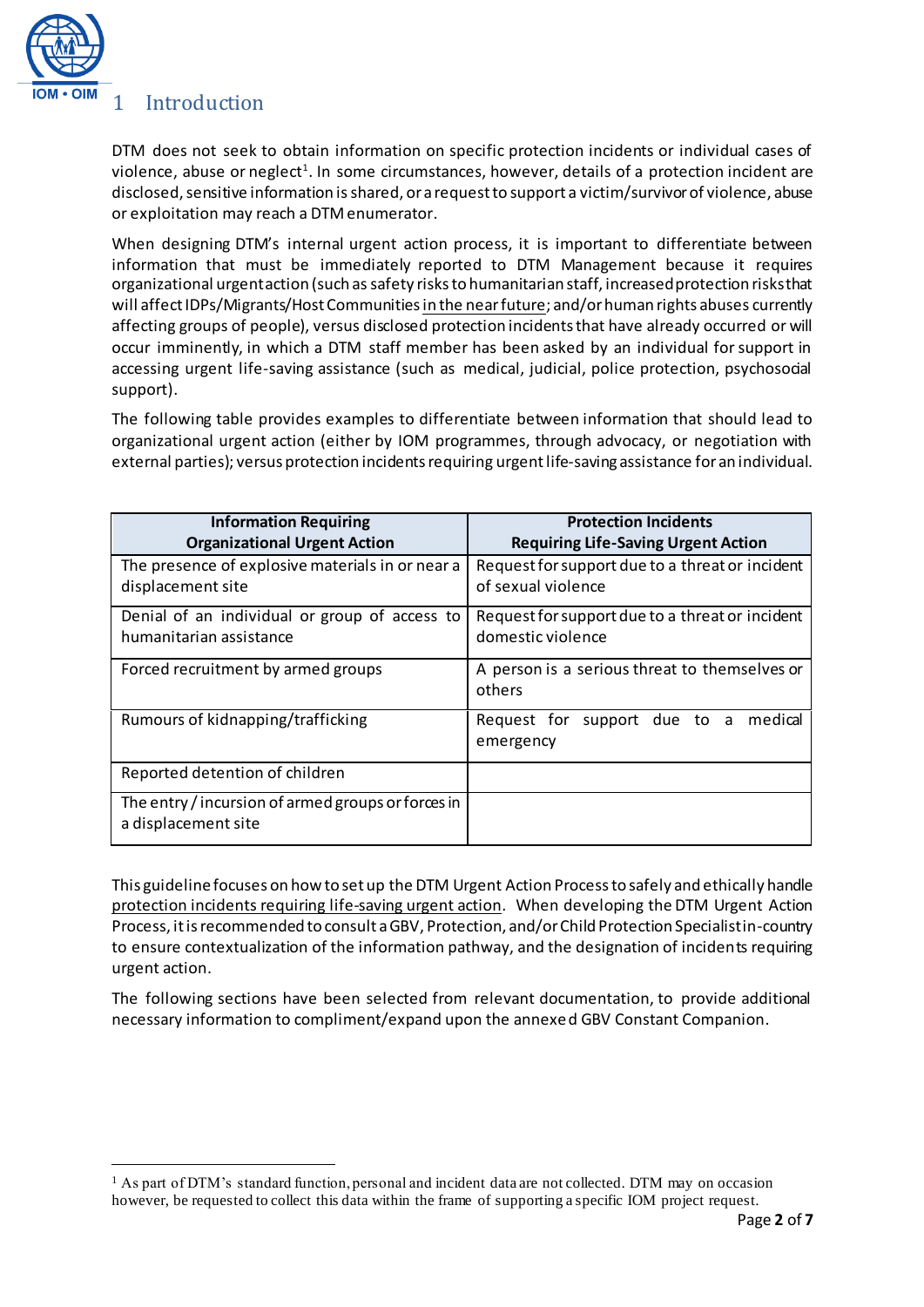

 $\overline{a}$ 

### <span id="page-1-0"></span>1 Introduction

DTM does not seek to obtain information on specific protection incidents or individual cases of violence, abuse or neglect<sup>1</sup>. In some circumstances, however, details of a protection incident are disclosed, sensitive information is shared, or a request to support a victim/survivor of violence, abuse or exploitation may reach a DTM enumerator.

When designing DTM's internal urgent action process, it is important to differentiate between information that must be immediately reported to DTM Management because it requires organizational urgent action (such as safety risks to humanitarian staff, increased protection risks that will affect IDPs/Migrants/Host Communities in the nearfuture; and/or human rights abuses currently affecting groups of people), versus disclosed protection incidents that have already occurred or will occur imminently, in which a DTM staff member has been asked by an individual for support in accessing urgent life-saving assistance (such as medical, judicial, police protection, psychosocial support).

The following table provides examples to differentiate between information that should lead to organizational urgent action (either by IOM programmes, through advocacy, or negotiation with external parties); versus protection incidents requiring urgent life-saving assistance for an individual.

| <b>Information Requiring</b>                                              | <b>Protection Incidents</b>                                           |
|---------------------------------------------------------------------------|-----------------------------------------------------------------------|
| <b>Organizational Urgent Action</b>                                       | <b>Requiring Life-Saving Urgent Action</b>                            |
| The presence of explosive materials in or near a<br>displacement site     | Request for support due to a threat or incident<br>of sexual violence |
| Denial of an individual or group of access to<br>humanitarian assistance  | Request for support due to a threat or incident<br>domestic violence  |
| Forced recruitment by armed groups                                        | A person is a serious threat to themselves or<br>others               |
| Rumours of kidnapping/trafficking                                         | medical<br>Request for support due to a<br>emergency                  |
| Reported detention of children                                            |                                                                       |
| The entry / incursion of armed groups or forces in<br>a displacement site |                                                                       |

This guidelinefocuses on how to set up the DTM Urgent Action Process to safely and ethically handle protection incidents requiring life-saving urgent action. When developing the DTM Urgent Action Process, it is recommended to consult a GBV, Protection, and/or Child Protection Specialistin-country to ensure contextualization of the information pathway, and the designation of incidents requiring urgent action.

The following sections have been selected from relevant documentation, to provide additional necessary information to compliment/expand upon the annexed GBV Constant Companion.

<sup>1</sup> As part of DTM's standard function, personal and incident data are not collected. DTM may on occasion however, be requested to collect this data within the frame of supporting a specific IOM project request.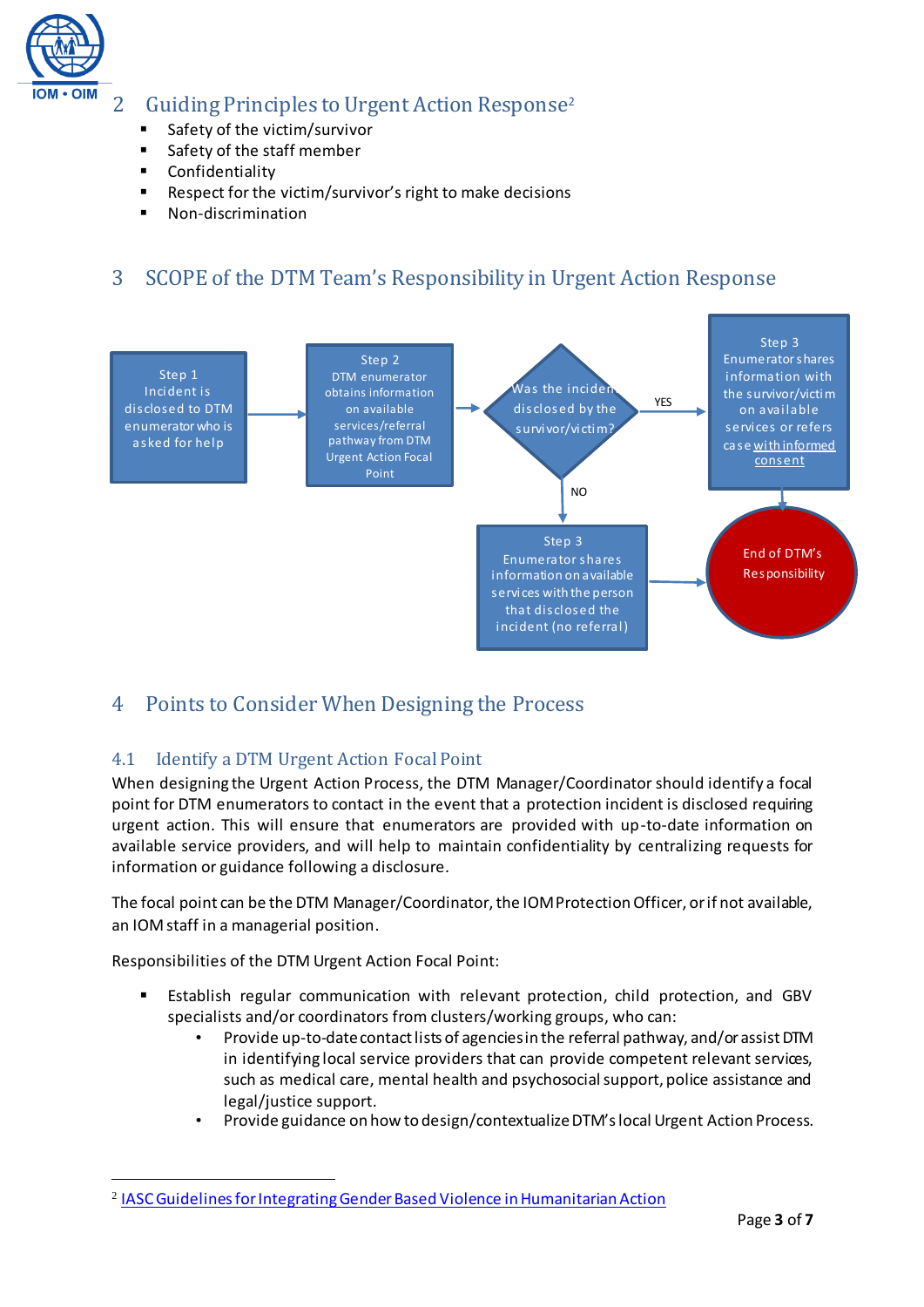

## <span id="page-2-0"></span>2 Guiding Principles to Urgent Action Response<sup>2</sup>

- **Safety of the victim/survivor**
- **Safety of the staff member**
- Confidentiality
- Respect for the victim/survivor's right to make decisions
- **Non-discrimination**

## <span id="page-2-1"></span>3 SCOPE of the DTM Team's Responsibility in Urgent Action Response



## <span id="page-2-2"></span>4 Points to Consider When Designing the Process

## <span id="page-2-3"></span>4.1 Identify a DTM Urgent Action Focal Point

When designing the Urgent Action Process, the DTM Manager/Coordinator should identify a focal point for DTM enumerators to contact in the event that a protection incident is disclosed requiring urgent action. This will ensure that enumerators are provided with up-to-date information on available service providers, and will help to maintain confidentiality by centralizing requests for information or guidance following a disclosure.

The focal point can be the DTM Manager/Coordinator, the IOM Protection Officer, or if not available, an IOM staff in a managerial position.

Responsibilities of the DTM Urgent Action Focal Point:

 $\overline{a}$ 

- Establish regular communication with relevant protection, child protection, and GBV specialists and/or coordinators from clusters/working groups, who can:
	- Provide up-to-date contact lists of agencies in the referral pathway, and/or assist DTM in identifying local service providers that can provide competent relevant services, such as medical care, mental health and psychosocial support, police assistance and legal/justice support.
	- Provide guidance on how to design/contextualize DTM's local Urgent Action Process.

<sup>2</sup> [IASC Guidelines for Integrating Gender Based Violence in Humanitarian Action](https://interagencystandingcommittee.org/system/files/2015-iasc-gender-based-violence-guidelines_full-res.pdf)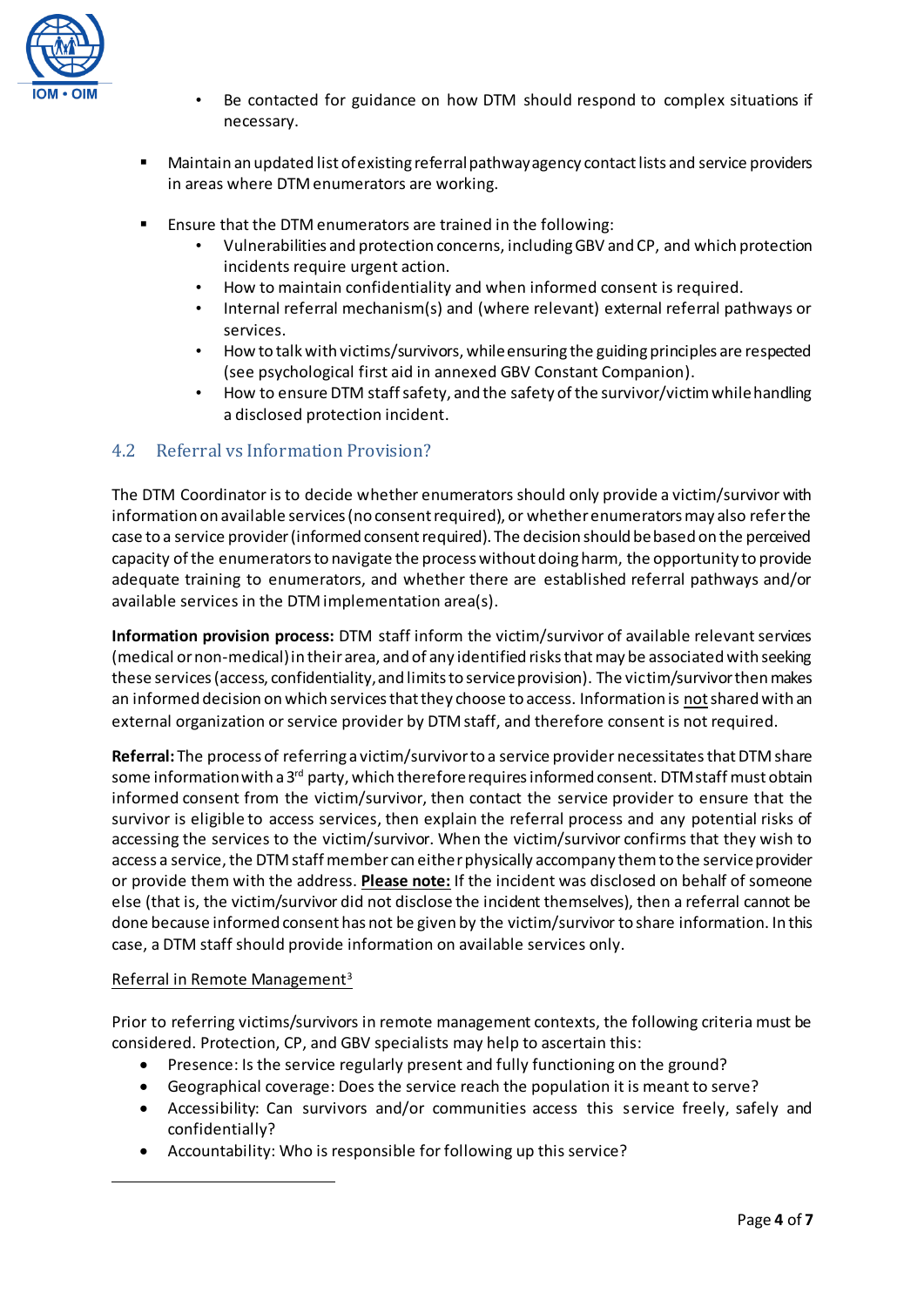

- Be contacted for guidance on how DTM should respond to complex situations if necessary.
- Maintain an updated list of existing referral pathway agency contact lists and service providers in areas where DTM enumerators are working.
- Ensure that the DTM enumerators are trained in the following:
	- Vulnerabilities and protection concerns, including GBV and CP, and which protection incidents require urgent action.
	- How to maintain confidentiality and when informed consent is required.
	- Internal referral mechanism(s) and (where relevant) external referral pathways or services.
	- How to talk with victims/survivors, while ensuring the guiding principles are respected (see psychological first aid in annexed GBV Constant Companion).
	- How to ensure DTM staff safety, and the safety of the survivor/victim while handling a disclosed protection incident.

### <span id="page-3-0"></span>4.2 Referral vs Information Provision?

The DTM Coordinator is to decide whether enumerators should only provide a victim/survivor with information on available services (no consent required), or whether enumerators may also refer the case to a service provider (informed consent required). The decision should be based on the perceived capacity of the enumerators to navigate the process without doing harm, the opportunity to provide adequate training to enumerators, and whether there are established referral pathways and/or available services in the DTM implementation area(s).

**Information provision process:** DTM staff inform the victim/survivor of available relevant services (medical or non-medical) in their area, and of any identified risks that may be associated with seeking these services (access, confidentiality, and limits to service provision). The victim/survivor then makes an informed decision on which services that they choose to access. Information is not shared with an external organization or service provider by DTM staff, and therefore consent is not required.

**Referral:** The process of referring a victim/survivor to a service provider necessitatesthat DTM share some information with a  $3^{rd}$  party, which therefore requires informed consent. DTM staff must obtain informed consent from the victim/survivor, then contact the service provider to ensure that the survivor is eligible to access services, then explain the referral process and any potential risks of accessing the services to the victim/survivor. When the victim/survivor confirms that they wish to access a service, the DTM staff member can either physically accompany them to the service provider or provide them with the address. **Please note:** If the incident was disclosed on behalf of someone else (that is, the victim/survivor did not disclose the incident themselves), then a referral cannot be done because informed consent has not be given by the victim/survivor to share information. In this case, a DTM staff should provide information on available services only.

#### Referral in Remote Management<sup>3</sup>

 $\overline{a}$ 

Prior to referring victims/survivors in remote management contexts, the following criteria must be considered. Protection, CP, and GBV specialists may help to ascertain this:

- Presence: Is the service regularly present and fully functioning on the ground?
- Geographical coverage: Does the service reach the population it is meant to serve?
- Accessibility: Can survivors and/or communities access this service freely, safely and confidentially?
- Accountability: Who is responsible for following up this service?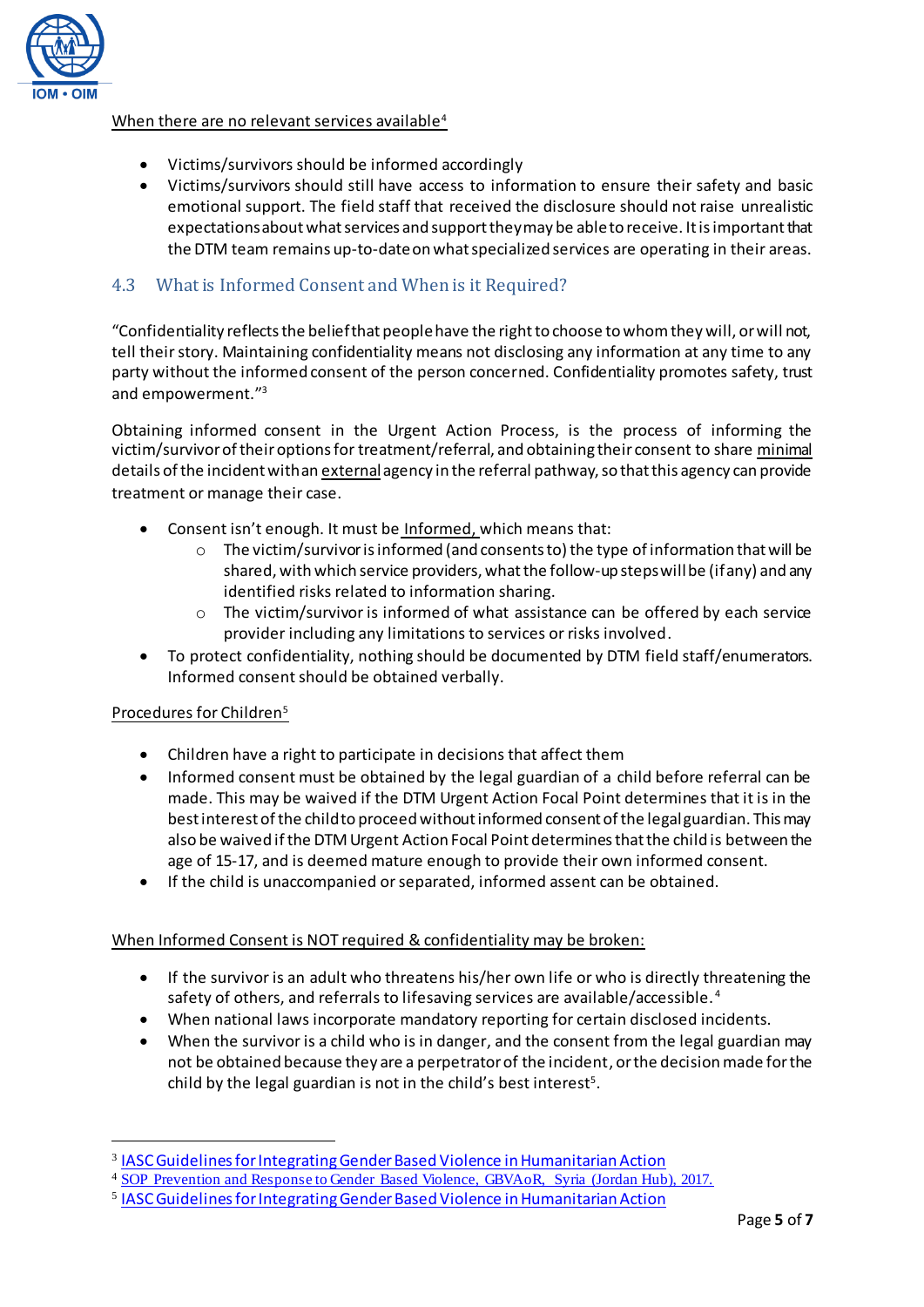

### When there are no relevant services availa[ble](#page-4-1)<sup>4</sup>

- Victims/survivors should be informed accordingly
- Victims/survivors should still have access to information to ensure their safety and basic emotional support. The field staff that received the disclosure should not raise unrealistic expectations about what services and support they may be able to receive. It is important that the DTM team remains up-to-date on what specialized services are operating in their areas.

## <span id="page-4-0"></span>4.3 What is Informed Consent and When is it Required?

"Confidentiality reflects the belief that people have the right to choose to whom they will, or will not, tell their story. Maintaining confidentiality means not disclosing any information at any time to any party without the informed consent of the person concerned. Confidentiality promotes safety, trust and empowerment." 3

Obtaining informed consent in the Urgent Action Process, is the process of informing the victim/survivor of their options for treatment/referral, and obtaining their consent to share minimal details of the incident with an externalagency in the referral pathway, so that this agency can provide treatment or manage their case.

- Consent isn't enough. It must be Informed, which means that:
	- $\circ$  The victim/survivor is informed (and consents to) the type of information that will be shared, with which service providers, what the follow-up steps will be (if any) and any identified risks related to information sharing.
	- $\circ$  The victim/survivor is informed of what assistance can be offered by each service provider including any limitations to services or risks involved.
- To protect confidentiality, nothing should be documented by DTM field staff/enumerators. Informed consent should be obtained verbally.

### Procedures for Childre[n](#page-4-2)<sup>5</sup>

 $\overline{a}$ 

- Children have a right to participate in decisions that affect them
- Informed consent must be obtained by the legal guardian of a child before referral can be made. This may be waived if the DTM Urgent Action Focal Point determines that it is in the best interest of the child to proceed without informed consent of the legal guardian. This may also be waived if the DTM Urgent Action Focal Point determines that the child is between the age of 15-17, and is deemed mature enough to provide their own informed consent.
- If the child is unaccompanied or separated, informed assent can be obtained.

### When Informed Consent is NOT required & confidentiality may be broken:

- If the survivor is an adult who threatens his/her own life or who is directly threatening the safety of others, and referrals to lifesaving services are available/accessible. <sup>4</sup>
- <span id="page-4-1"></span>When national laws incorporate mandatory reporting for certain disclosed incidents.
- <span id="page-4-2"></span> When the survivor is a child who is in danger, and the consent from the legal guardian may not be obtained because they are a perpetrator of the incident, or the decision made for the child by the legal guardian is not in the child's best interest<sup>5</sup>.

<sup>3</sup> [IASC Guidelines for Integrating Gender Based Violence in Humanitarian Action](https://interagencystandingcommittee.org/system/files/2015-iasc-gender-based-violence-guidelines_full-res.pdf)

<sup>4</sup> [SOP Prevention and Response to Gender Based Violence, GBVAoR, Syria \(Jordan Hub\), 2017.](https://www.humanitarianresponse.info/system/files/documents/files/2017-07_gbv_reference_group_jordan_hub_sop.pdf)

<sup>5</sup> [IASC Guidelines for Integrating Gender Based Violence in Humanitarian Action](https://interagencystandingcommittee.org/system/files/2015-iasc-gender-based-violence-guidelines_full-res.pdf)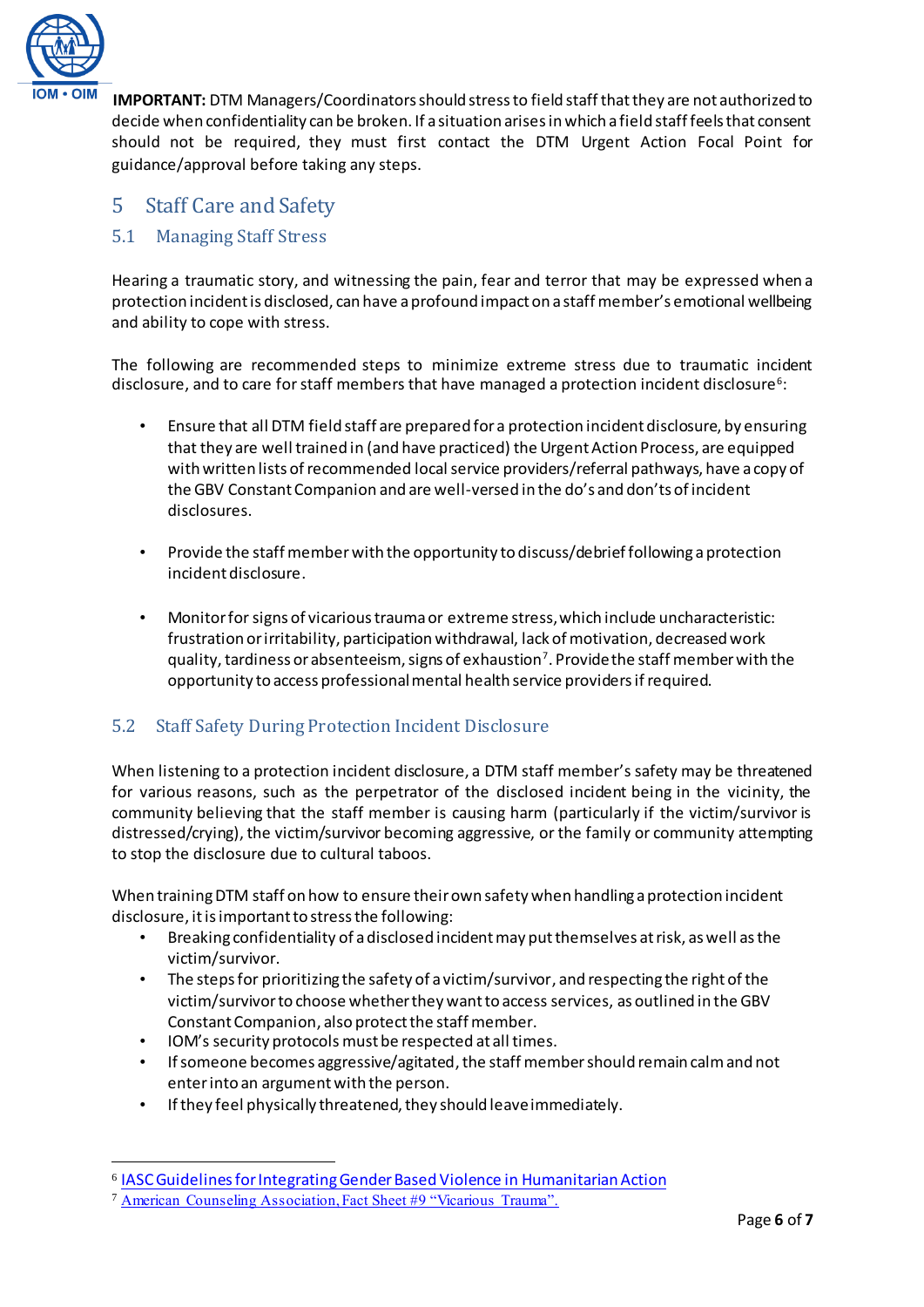

**IMPORTANT:** DTM Managers/Coordinators should stress to field staff that they are not authorized to decide when confidentiality can be broken. If a situation arises in which a field staff feels that consent should not be required, they must first contact the DTM Urgent Action Focal Point for guidance/approval before taking any steps.

## <span id="page-5-0"></span>5 Staff Care and Safety

## <span id="page-5-1"></span>5.1 Managing Staff Stress

Hearing a traumatic story, and witnessing the pain, fear and terror that may be expressed when a protection incident is disclosed, can have a profound impact on a staff member's emotional wellbeing and ability to cope with stress.

The following are recommended steps to minimize extreme stress due to traumatic incident disclosure, and to care for staff members that have managed a protection incident disclosure $^6$ :

- Ensure that all DTM field staff are prepared for a protection incident disclosure, by ensuring that they are well trained in (and have practiced) the Urgent Action Process, are equipped with written lists of recommended local service providers/referral pathways, have a copy of the GBV Constant Companion and are well-versed in the do's and don'ts of incident disclosures.
- Provide the staff member with the opportunity to discuss/debrief following a protection incident disclosure.
- Monitor for signs of vicarious trauma or extreme stress, which include uncharacteristic: frustration or irritability, participation withdrawal, lack of motivation, decreased work quality, tardiness or absenteeism, signs of exhaustion<sup>7</sup>. Provide the staff member with the opportunity to access professional mental health service providers if required.

## <span id="page-5-2"></span>5.2 Staff Safety During Protection Incident Disclosure

When listening to a protection incident disclosure, a DTM staff member's safety may be threatened for various reasons, such as the perpetrator of the disclosed incident being in the vicinity, the community believing that the staff member is causing harm (particularly if the victim/survivor is distressed/crying), the victim/survivor becoming aggressive, or the family or community attempting to stop the disclosure due to cultural taboos.

When training DTM staff on how to ensure their own safety when handling a protection incident disclosure, it is important to stress the following:

- Breaking confidentiality of a disclosed incident may put themselves at risk, as well as the victim/survivor.
- The steps for prioritizing the safety of a victim/survivor, and respecting the right of the victim/survivor to choose whether they want to access services, as outlined in the GBV Constant Companion, also protect the staff member.
- IOM's security protocols must be respected at all times.
- If someone becomes aggressive/agitated, the staff membershould remain calm and not enter into an argument with the person.
- If they feel physically threatened, they should leave immediately.

 $\overline{a}$ 

<sup>6</sup> [IASC Guidelines for Integrating Gender Based Violence in Humanitarian Action](https://interagencystandingcommittee.org/system/files/2015-iasc-gender-based-violence-guidelines_full-res.pdf)

<sup>7</sup> [American Counseling Association, Fact Sheet #9 "Vicarious Trauma".](https://www.counseling.org/docs/trauma-disaster/fact-sheet-9---vicarious-trauma.pdf)